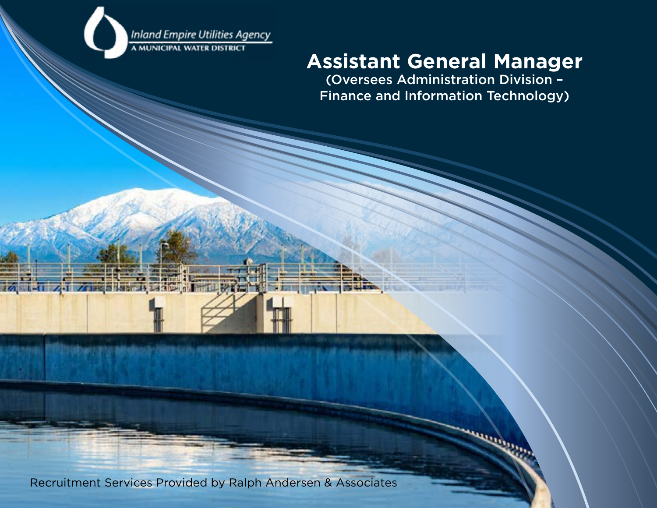

**Zai Zaisenistran Lando (Mill Pier)** 

 $100$ 

開 行き

### **Assistant General Manager**

(Oversees Administration Division – Finance and Information Technology)

Recruitment Services Provided by Ralph Andersen & Associates

**TO AVENUE STEADAY** 

Г.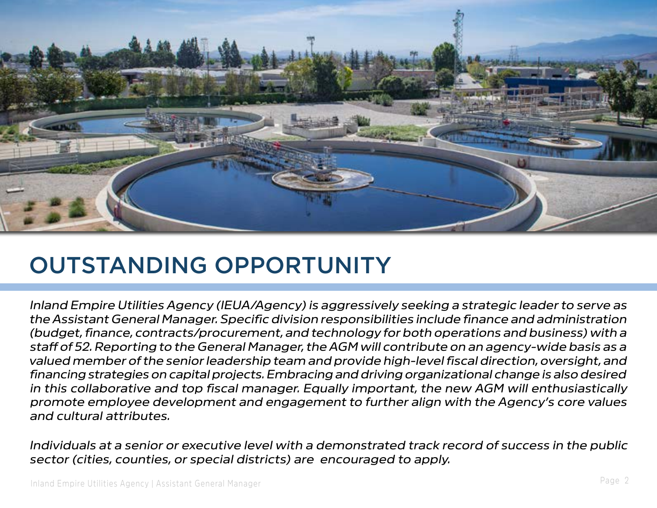

### OUTSTANDING OPPORTUNITY

*Inland Empire Utilities Agency (IEUA/Agency) is aggressively seeking a strategic leader to serve as the Assistant General Manager. Specific division responsibilities include finance and administration (budget, finance, contracts/procurement, and technology for both operations and business) with a staff of 52. Reporting to the General Manager, the AGM will contribute on an agency-wide basis as a valued member of the senior leadership team and provide high-level fiscal direction, oversight, and financing strategies on capital projects. Embracing and driving organizational change is also desired in this collaborative and top fiscal manager. Equally important, the new AGM will enthusiastically promote employee development and engagement to further align with the Agency's core values and cultural attributes.* 

*Individuals at a senior or executive level with a demonstrated track record of success in the public sector (cities, counties, or special districts) are encouraged to apply.*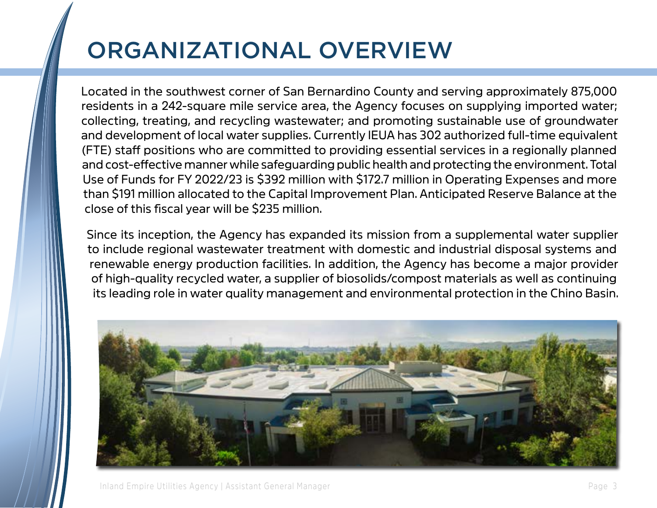# ORGANIZATIONAL OVERVIEW

Located in the southwest corner of San Bernardino County and serving approximately 875,000 residents in a 242-square mile service area, the Agency focuses on supplying imported water; collecting, treating, and recycling wastewater; and promoting sustainable use of groundwater and development of local water supplies. Currently IEUA has 302 authorized full-time equivalent (FTE) staff positions who are committed to providing essential services in a regionally planned and cost-effective manner while safeguarding public health and protecting the environment. Total Use of Funds for FY 2022/23 is \$392 million with \$172.7 million in Operating Expenses and more than \$191 million allocated to the Capital Improvement Plan. Anticipated Reserve Balance at the close of this fiscal year will be \$235 million.

Since its inception, the Agency has expanded its mission from a supplemental water supplier to include regional wastewater treatment with domestic and industrial disposal systems and renewable energy production facilities. In addition, the Agency has become a major provider of high-quality recycled water, a supplier of biosolids/compost materials as well as continuing its leading role in water quality management and environmental protection in the Chino Basin.

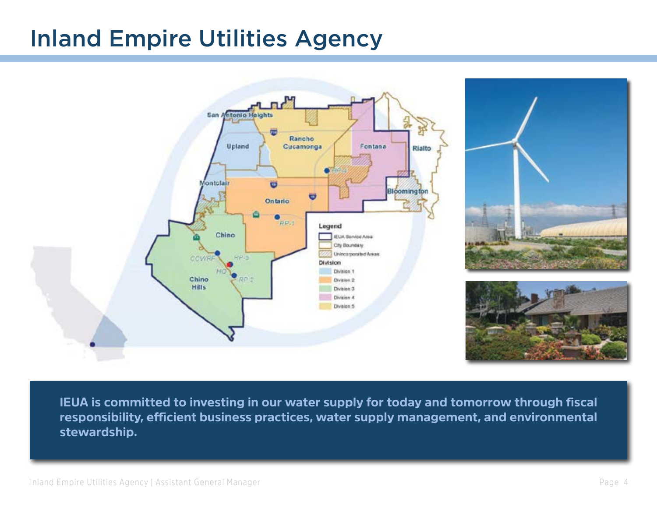### Inland Empire Utilities Agency





**IEUA is committed to investing in our water supply for today and tomorrow through fiscal responsibility, efficient business practices, water supply management, and environmental stewardship.**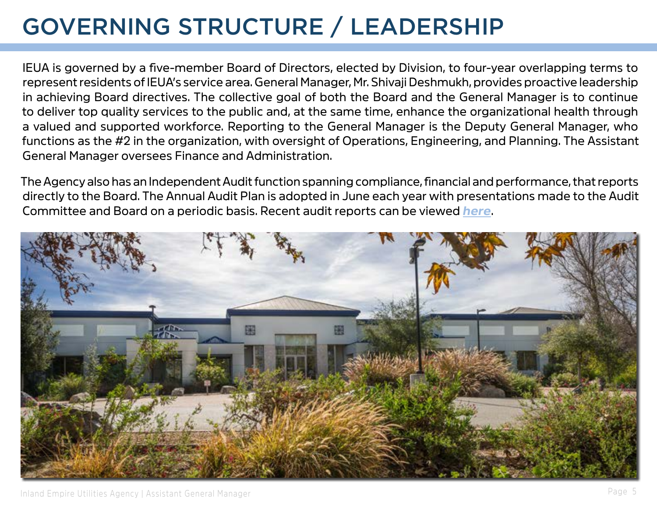# GOVERNING STRUCTURE / LEADERSHIP

IEUA is governed by a five-member Board of Directors, elected by Division, to four-year overlapping terms to represent residents of IEUA's service area. General Manager, Mr. Shivaji Deshmukh, provides proactive leadership in achieving Board directives. The collective goal of both the Board and the General Manager is to continue to deliver top quality services to the public and, at the same time, enhance the organizational health through a valued and supported workforce. Reporting to the General Manager is the Deputy General Manager, who functions as the #2 in the organization, with oversight of Operations, Engineering, and Planning. The Assistant General Manager oversees Finance and Administration.

The Agency also has an Independent Audit function spanning compliance, financial and performance, that reports directly to the Board. The Annual Audit Plan is adopted in June each year with presentations made to the Audit Committee and Board on a periodic basis. Recent audit reports can be viewed *[here](https://18x37n2ovtbb3434n48jhbs1-wpengine.netdna-ssl.com/wp-content/uploads/2021/05/Audit-Function-Electronic-Resources-All-items-for-IEUA-webpage.pdf)*.

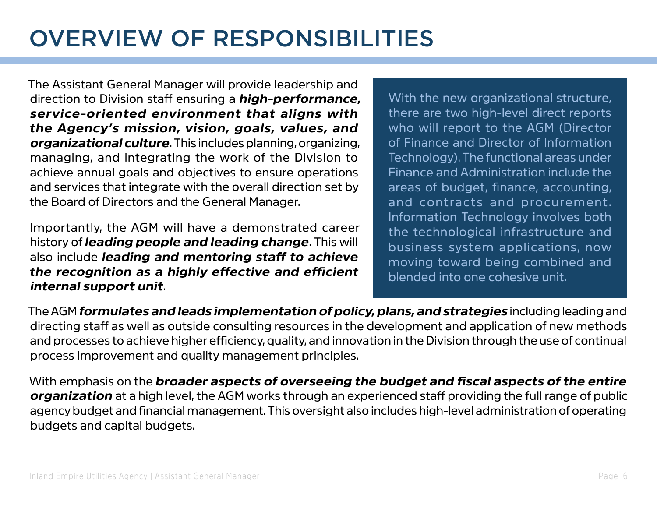### OVERVIEW OF RESPONSIBILITIES

The Assistant General Manager will provide leadership and direction to Division staff ensuring a *high-performance, service-oriented environment that aligns with the Agency's mission, vision, goals, values, and organizational culture*. This includes planning, organizing, managing, and integrating the work of the Division to achieve annual goals and objectives to ensure operations and services that integrate with the overall direction set by the Board of Directors and the General Manager.

Importantly, the AGM will have a demonstrated career history of *leading people and leading change*. This will also include *leading and mentoring staff to achieve the recognition as a highly effective and efficient internal support unit*.

With the new organizational structure, there are two high-level direct reports who will report to the AGM (Director of Finance and Director of Information Technology). The functional areas under Finance and Administration include the areas of budget, finance, accounting, and contracts and procurement. Information Technology involves both the technological infrastructure and business system applications, now moving toward being combined and blended into one cohesive unit.

The AGM *formulates and leads implementation of policy, plans, and strategies* including leading and directing staff as well as outside consulting resources in the development and application of new methods and processes to achieve higher efficiency, quality, and innovation in the Division through the use of continual process improvement and quality management principles.

With emphasis on the *broader aspects of overseeing the budget and fiscal aspects of the entire organization* at a high level, the AGM works through an experienced staff providing the full range of public agency budget and financial management. This oversight also includes high-level administration of operating budgets and capital budgets.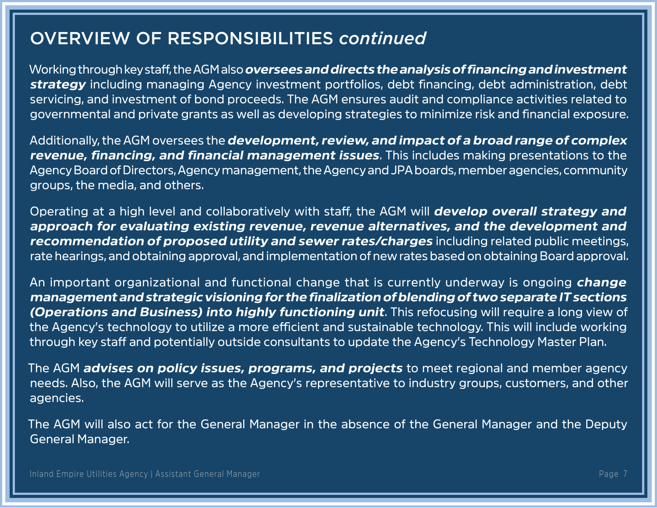### OVERVIEW OF RESPONSIBILITIES *continued*

Working through key staff, the AGM also *oversees and directs the analysis of financing and investment strategy* including managing Agency investment portfolios, debt financing, debt administration, debt servicing, and investment of bond proceeds. The AGM ensures audit and compliance activities related to governmental and private grants as well as developing strategies to minimize risk and financial exposure.

Additionally, the AGM oversees the *development, review, and impact of a broad range of complex revenue, financing, and financial management issues*. This includes making presentations to the Agency Board of Directors, Agency management, the Agency and JPA boards, member agencies, community groups, the media, and others.

Operating at a high level and collaboratively with staff, the AGM will *develop overall strategy and approach for evaluating existing revenue, revenue alternatives, and the development and recommendation of proposed utility and sewer rates/charges* including related public meetings, rate hearings, and obtaining approval, and implementation of new rates based on obtaining Board approval.

An important organizational and functional change that is currently underway is ongoing *change management and strategic visioning for the finalization of blending of two separate IT sections (Operations and Business) into highly functioning unit*. This refocusing will require a long view of the Agency's technology to utilize a more efficient and sustainable technology. This will include working through key staff and potentially outside consultants to update the Agency's Technology Master Plan.

The AGM *advises on policy issues, programs, and projects* to meet regional and member agency needs. Also, the AGM will serve as the Agency's representative to industry groups, customers, and other agencies.

The AGM will also act for the General Manager in the absence of the General Manager and the Deputy General Manager.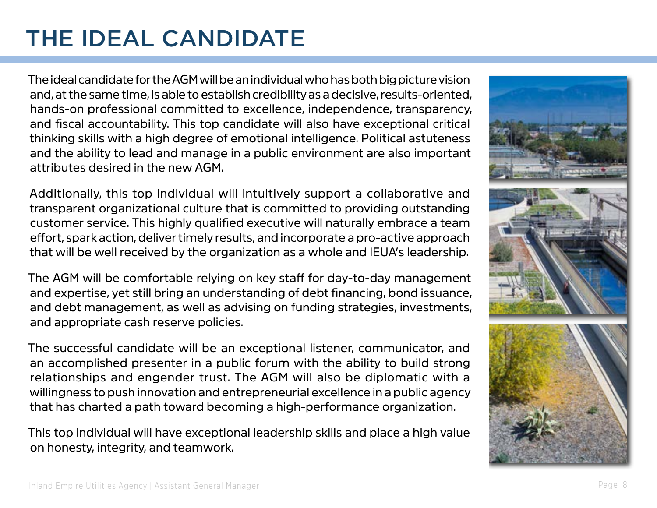### THE IDEAL CANDIDATE

The ideal candidate for the AGM will be an individual who has both big picture vision and, at the same time, is able to establish credibility as a decisive, results-oriented, hands-on professional committed to excellence, independence, transparency, and fiscal accountability. This top candidate will also have exceptional critical thinking skills with a high degree of emotional intelligence. Political astuteness and the ability to lead and manage in a public environment are also important attributes desired in the new AGM.

Additionally, this top individual will intuitively support a collaborative and transparent organizational culture that is committed to providing outstanding customer service. This highly qualified executive will naturally embrace a team effort, spark action, deliver timely results, and incorporate a pro-active approach that will be well received by the organization as a whole and IEUA's leadership.

The AGM will be comfortable relying on key staff for day-to-day management and expertise, yet still bring an understanding of debt financing, bond issuance, and debt management, as well as advising on funding strategies, investments, and appropriate cash reserve policies.

The successful candidate will be an exceptional listener, communicator, and an accomplished presenter in a public forum with the ability to build strong relationships and engender trust. The AGM will also be diplomatic with a willingness to push innovation and entrepreneurial excellence in a public agency that has charted a path toward becoming a high-performance organization.

This top individual will have exceptional leadership skills and place a high value on honesty, integrity, and teamwork.

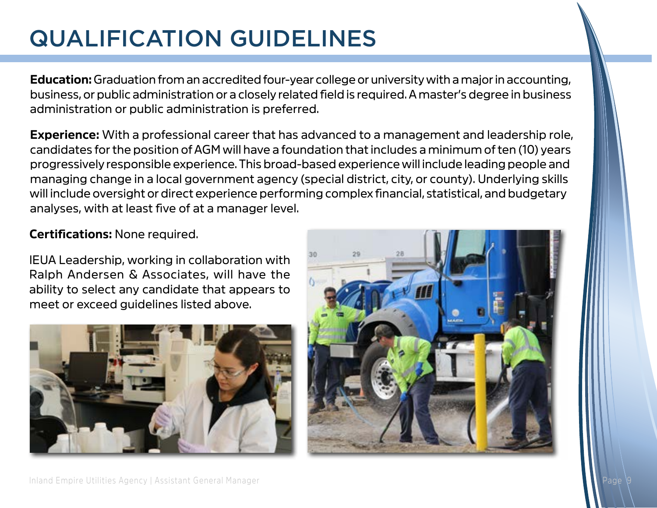### QUALIFICATION GUIDELINES

**Education:** Graduation from an accredited four-year college or university with a major in accounting, business, or public administration or a closely related field is required. A master's degree in business administration or public administration is preferred.

**Experience:** With a professional career that has advanced to a management and leadership role, candidates for the position of AGM will have a foundation that includes a minimum of ten (10) years progressively responsible experience. This broad-based experience will include leading people and managing change in a local government agency (special district, city, or county). Underlying skills will include oversight or direct experience performing complex financial, statistical, and budgetary analyses, with at least five of at a manager level.

#### **Certifications:** None required.

IEUA Leadership, working in collaboration with Ralph Andersen & Associates, will have the ability to select any candidate that appears to meet or exceed guidelines listed above.



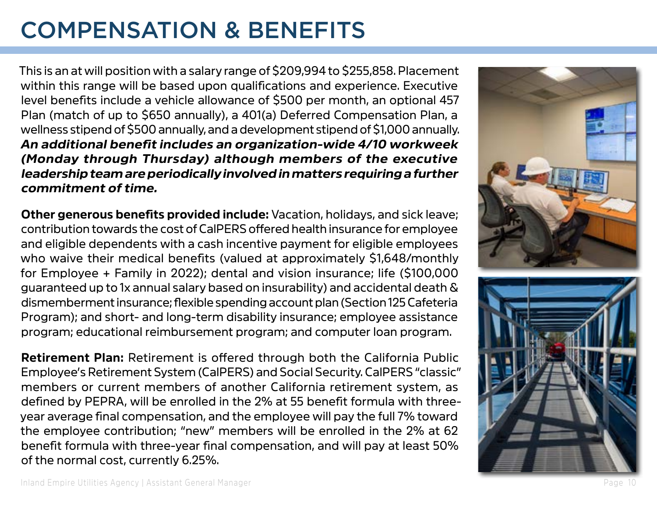### COMPENSATION & BENEFITS

This is an at will position with a salary range of \$209,994 to \$255,858. Placement within this range will be based upon qualifications and experience. Executive level benefits include a vehicle allowance of \$500 per month, an optional 457 Plan (match of up to \$650 annually), a 401(a) Deferred Compensation Plan, a wellness stipend of \$500 annually, and a development stipend of \$1,000 annually. *An additional benefit includes an organization-wide 4/10 workweek (Monday through Thursday) although members of the executive leadership team are periodically involved in matters requiring a further commitment of time.*

**Other generous benefits provided include:** Vacation, holidays, and sick leave; contribution towards the cost of CalPERS offered health insurance for employee and eligible dependents with a cash incentive payment for eligible employees who waive their medical benefits (valued at approximately \$1,648/monthly for Employee + Family in 2022); dental and vision insurance; life (\$100,000 guaranteed up to 1x annual salary based on insurability) and accidental death & dismemberment insurance; flexible spending account plan (Section 125 Cafeteria Program); and short- and long-term disability insurance; employee assistance program; educational reimbursement program; and computer loan program.

**Retirement Plan:** Retirement is offered through both the California Public Employee's Retirement System (CalPERS) and Social Security. CalPERS "classic" members or current members of another California retirement system, as defined by PEPRA, will be enrolled in the 2% at 55 benefit formula with threeyear average final compensation, and the employee will pay the full 7% toward the employee contribution; "new" members will be enrolled in the 2% at 62 benefit formula with three-year final compensation, and will pay at least 50% of the normal cost, currently 6.25%.